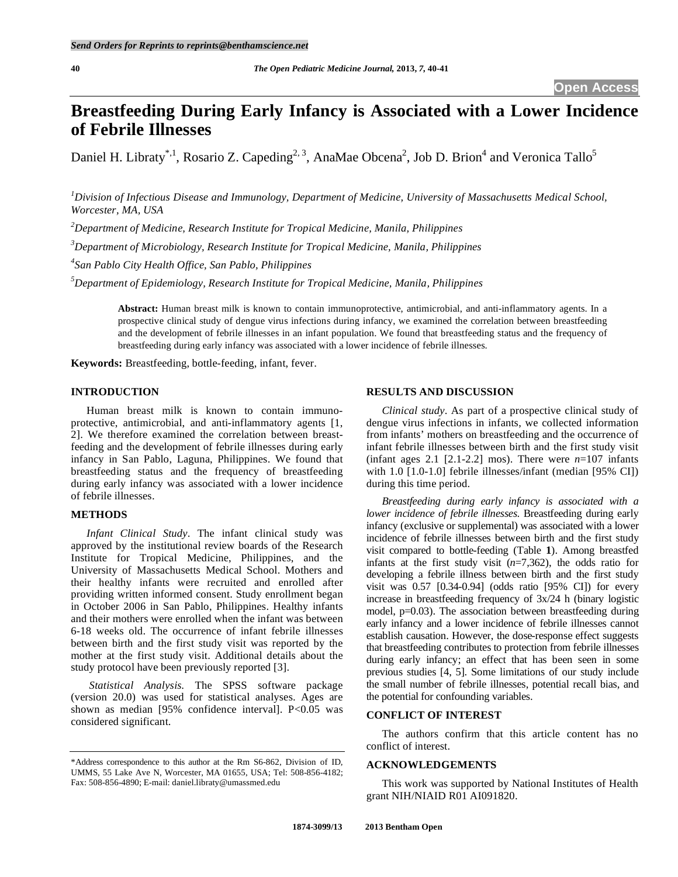# **Breastfeeding During Early Infancy is Associated with a Lower Incidence of Febrile Illnesses**

Daniel H. Libraty<sup>\*,1</sup>, Rosario Z. Capeding<sup>2, 3</sup>, AnaMae Obcena<sup>2</sup>, Job D. Brion<sup>4</sup> and Veronica Tallo<sup>5</sup>

*1 Division of Infectious Disease and Immunology, Department of Medicine, University of Massachusetts Medical School, Worcester, MA, USA* 

*2 Department of Medicine, Research Institute for Tropical Medicine, Manila, Philippines* 

*3 Department of Microbiology, Research Institute for Tropical Medicine, Manila, Philippines* 

*4 San Pablo City Health Office, San Pablo, Philippines* 

*5 Department of Epidemiology, Research Institute for Tropical Medicine, Manila, Philippines* 

**Abstract:** Human breast milk is known to contain immunoprotective, antimicrobial, and anti-inflammatory agents. In a prospective clinical study of dengue virus infections during infancy, we examined the correlation between breastfeeding and the development of febrile illnesses in an infant population. We found that breastfeeding status and the frequency of breastfeeding during early infancy was associated with a lower incidence of febrile illnesses.

**Keywords:** Breastfeeding, bottle-feeding, infant, fever.

## **INTRODUCTION**

 Human breast milk is known to contain immunoprotective, antimicrobial, and anti-inflammatory agents [1, 2]. We therefore examined the correlation between breastfeeding and the development of febrile illnesses during early infancy in San Pablo, Laguna, Philippines. We found that breastfeeding status and the frequency of breastfeeding during early infancy was associated with a lower incidence of febrile illnesses.

#### **METHODS**

*Infant Clinical Study*. The infant clinical study was approved by the institutional review boards of the Research Institute for Tropical Medicine, Philippines, and the University of Massachusetts Medical School. Mothers and their healthy infants were recruited and enrolled after providing written informed consent. Study enrollment began in October 2006 in San Pablo, Philippines. Healthy infants and their mothers were enrolled when the infant was between 6-18 weeks old. The occurrence of infant febrile illnesses between birth and the first study visit was reported by the mother at the first study visit. Additional details about the study protocol have been previously reported [3].

 *Statistical Analysis*. The SPSS software package (version 20.0) was used for statistical analyses. Ages are shown as median [95% confidence interval]. P<0.05 was considered significant.

## **RESULTS AND DISCUSSION**

*Clinical study*. As part of a prospective clinical study of dengue virus infections in infants, we collected information from infants' mothers on breastfeeding and the occurrence of infant febrile illnesses between birth and the first study visit (infant ages 2.1 [2.1-2.2] mos). There were *n*=107 infants with 1.0 [1.0-1.0] febrile illnesses/infant (median [95% CI]) during this time period.

*Breastfeeding during early infancy is associated with a lower incidence of febrile illnesses.* Breastfeeding during early infancy (exclusive or supplemental) was associated with a lower incidence of febrile illnesses between birth and the first study visit compared to bottle-feeding (Table **1**). Among breastfed infants at the first study visit (*n*=7,362), the odds ratio for developing a febrile illness between birth and the first study visit was 0.57 [0.34-0.94] (odds ratio [95% CI]) for every increase in breastfeeding frequency of 3x/24 h (binary logistic model, p=0.03). The association between breastfeeding during early infancy and a lower incidence of febrile illnesses cannot establish causation. However, the dose-response effect suggests that breastfeeding contributes to protection from febrile illnesses during early infancy; an effect that has been seen in some previous studies [4, 5]. Some limitations of our study include the small number of febrile illnesses, potential recall bias, and the potential for confounding variables.

# **CONFLICT OF INTEREST**

 The authors confirm that this article content has no conflict of interest.

### **ACKNOWLEDGEMENTS**

 This work was supported by National Institutes of Health grant NIH/NIAID R01 AI091820.

<sup>\*</sup>Address correspondence to this author at the Rm S6-862, Division of ID, UMMS, 55 Lake Ave N, Worcester, MA 01655, USA; Tel: 508-856-4182; Fax: 508-856-4890; E-mail: daniel.libraty@umassmed.edu